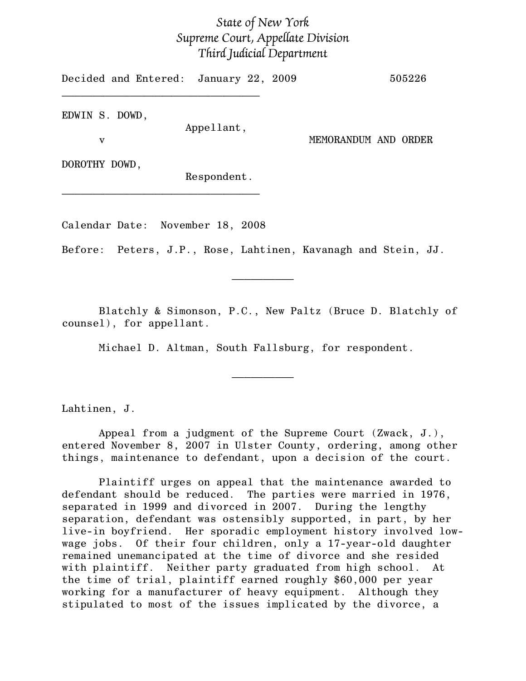## State of New York Supreme Court, Appellate Division Third Judicial Department

Decided and Entered: January 22, 2009 505226 \_\_\_\_\_\_\_\_\_\_\_\_\_\_\_\_\_\_\_\_\_\_\_\_\_\_\_\_\_\_\_\_ EDWIN S. DOWD, Appellant, v MEMORANDUM AND ORDER DOROTHY DOWD, Respondent.

Calendar Date: November 18, 2008

\_\_\_\_\_\_\_\_\_\_\_\_\_\_\_\_\_\_\_\_\_\_\_\_\_\_\_\_\_\_\_\_

Before: Peters, J.P., Rose, Lahtinen, Kavanagh and Stein, JJ.

Blatchly & Simonson, P.C., New Paltz (Bruce D. Blatchly of counsel), for appellant.

 $\frac{1}{2}$ 

Michael D. Altman, South Fallsburg, for respondent.

 $\frac{1}{2}$ 

Lahtinen, J.

Appeal from a judgment of the Supreme Court (Zwack, J.), entered November 8, 2007 in Ulster County, ordering, among other things, maintenance to defendant, upon a decision of the court.

Plaintiff urges on appeal that the maintenance awarded to defendant should be reduced. The parties were married in 1976, separated in 1999 and divorced in 2007. During the lengthy separation, defendant was ostensibly supported, in part, by her live-in boyfriend. Her sporadic employment history involved lowwage jobs. Of their four children, only a 17-year-old daughter remained unemancipated at the time of divorce and she resided with plaintiff. Neither party graduated from high school. At the time of trial, plaintiff earned roughly \$60,000 per year working for a manufacturer of heavy equipment. Although they stipulated to most of the issues implicated by the divorce, a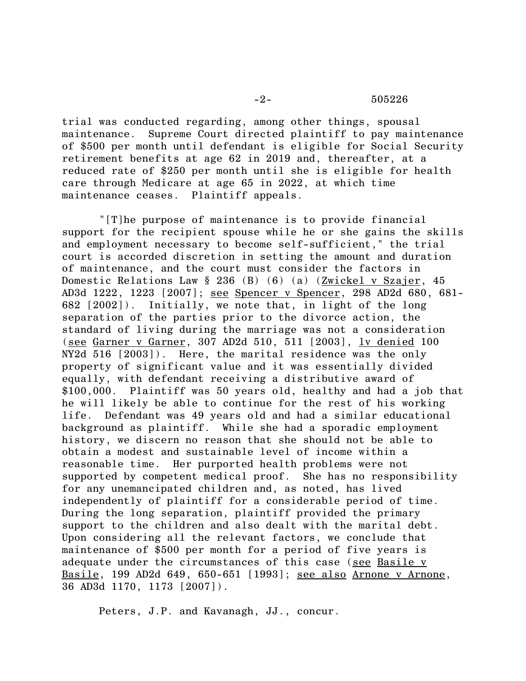## -2- 505226

trial was conducted regarding, among other things, spousal maintenance. Supreme Court directed plaintiff to pay maintenance of \$500 per month until defendant is eligible for Social Security retirement benefits at age 62 in 2019 and, thereafter, at a reduced rate of \$250 per month until she is eligible for health care through Medicare at age 65 in 2022, at which time maintenance ceases. Plaintiff appeals.

"[T]he purpose of maintenance is to provide financial support for the recipient spouse while he or she gains the skills and employment necessary to become self-sufficient," the trial court is accorded discretion in setting the amount and duration of maintenance, and the court must consider the factors in Domestic Relations Law § 236 (B) (6) (a) (Zwickel v Szajer, 45 AD3d 1222, 1223 [2007]; see Spencer v Spencer, 298 AD2d 680, 681- 682 [2002]). Initially, we note that, in light of the long separation of the parties prior to the divorce action, the standard of living during the marriage was not a consideration (see Garner v Garner, 307 AD2d 510, 511 [2003], lv denied 100 NY2d 516 [2003]). Here, the marital residence was the only property of significant value and it was essentially divided equally, with defendant receiving a distributive award of \$100,000. Plaintiff was 50 years old, healthy and had a job that he will likely be able to continue for the rest of his working life. Defendant was 49 years old and had a similar educational background as plaintiff. While she had a sporadic employment history, we discern no reason that she should not be able to obtain a modest and sustainable level of income within a reasonable time. Her purported health problems were not supported by competent medical proof. She has no responsibility for any unemancipated children and, as noted, has lived independently of plaintiff for a considerable period of time. During the long separation, plaintiff provided the primary support to the children and also dealt with the marital debt. Upon considering all the relevant factors, we conclude that maintenance of \$500 per month for a period of five years is adequate under the circumstances of this case (see Basile v Basile, 199 AD2d 649, 650-651 [1993]; see also Arnone v Arnone, 36 AD3d 1170, 1173 [2007]).

Peters, J.P. and Kavanagh, JJ., concur.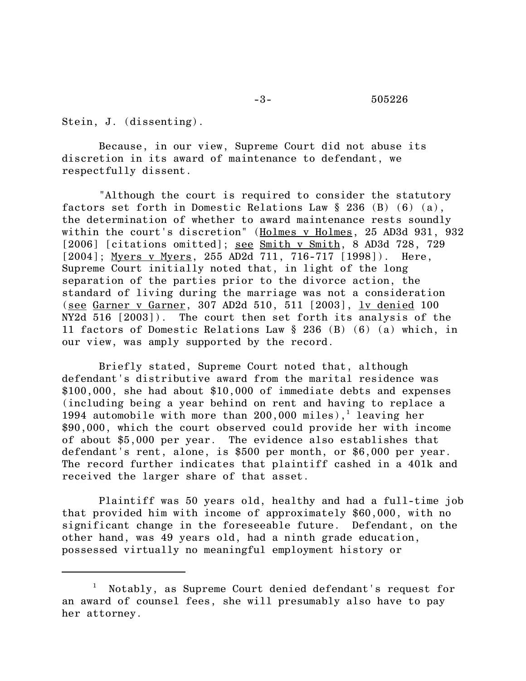Stein, J. (dissenting).

Because, in our view, Supreme Court did not abuse its discretion in its award of maintenance to defendant, we respectfully dissent.

"Although the court is required to consider the statutory factors set forth in Domestic Relations Law § 236 (B) (6) (a), the determination of whether to award maintenance rests soundly within the court's discretion" (Holmes v Holmes, 25 AD3d 931, 932 [2006] [citations omitted]; <u>see Smith v Smith</u>, 8 AD3d 728, 729 [2004]; Myers v Myers, 255 AD2d 711, 716-717 [1998]). Here, Supreme Court initially noted that, in light of the long separation of the parties prior to the divorce action, the standard of living during the marriage was not a consideration (see Garner v Garner, 307 AD2d 510, 511 [2003], lv denied 100 NY2d 516 [2003]). The court then set forth its analysis of the 11 factors of Domestic Relations Law § 236 (B) (6) (a) which, in our view, was amply supported by the record.

Briefly stated, Supreme Court noted that, although defendant's distributive award from the marital residence was \$100,000, she had about \$10,000 of immediate debts and expenses (including being a year behind on rent and having to replace a 1994 automobile with more than  $200,000$  miles),<sup>1</sup> leaving her \$90,000, which the court observed could provide her with income of about \$5,000 per year. The evidence also establishes that defendant's rent, alone, is \$500 per month, or \$6,000 per year. The record further indicates that plaintiff cashed in a 401k and received the larger share of that asset.

Plaintiff was 50 years old, healthy and had a full-time job that provided him with income of approximately \$60,000, with no significant change in the foreseeable future. Defendant, on the other hand, was 49 years old, had a ninth grade education, possessed virtually no meaningful employment history or

<sup>1</sup> Notably, as Supreme Court denied defendant's request for an award of counsel fees, she will presumably also have to pay her attorney.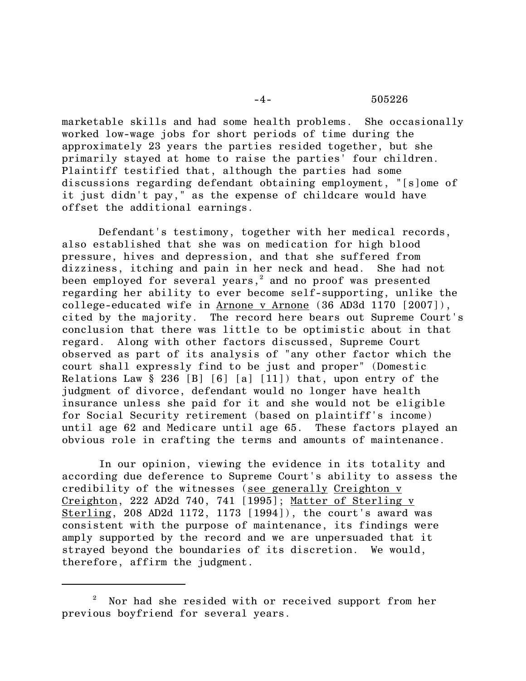## -4- 505226

marketable skills and had some health problems. She occasionally worked low-wage jobs for short periods of time during the approximately 23 years the parties resided together, but she primarily stayed at home to raise the parties' four children. Plaintiff testified that, although the parties had some discussions regarding defendant obtaining employment, "[s]ome of it just didn't pay," as the expense of childcare would have offset the additional earnings.

Defendant's testimony, together with her medical records, also established that she was on medication for high blood pressure, hives and depression, and that she suffered from dizziness, itching and pain in her neck and head. She had not been employed for several years, $^{\rm 2}$  and no proof was presented regarding her ability to ever become self-supporting, unlike the college-educated wife in Arnone v Arnone (36 AD3d 1170 [2007]), cited by the majority. The record here bears out Supreme Court's conclusion that there was little to be optimistic about in that regard. Along with other factors discussed, Supreme Court observed as part of its analysis of "any other factor which the court shall expressly find to be just and proper" (Domestic Relations Law  $\S 236$  [B] [6] [a] [11]) that, upon entry of the judgment of divorce, defendant would no longer have health insurance unless she paid for it and she would not be eligible for Social Security retirement (based on plaintiff's income) until age 62 and Medicare until age 65. These factors played an obvious role in crafting the terms and amounts of maintenance.

 In our opinion, viewing the evidence in its totality and according due deference to Supreme Court's ability to assess the credibility of the witnesses (see generally Creighton v Creighton, 222 AD2d 740, 741 [1995]; Matter of Sterling v Sterling, 208 AD2d 1172, 1173 [1994]), the court's award was consistent with the purpose of maintenance, its findings were amply supported by the record and we are unpersuaded that it strayed beyond the boundaries of its discretion. We would, therefore, affirm the judgment.

 $^2$  Nor had she resided with or received support from her previous boyfriend for several years.